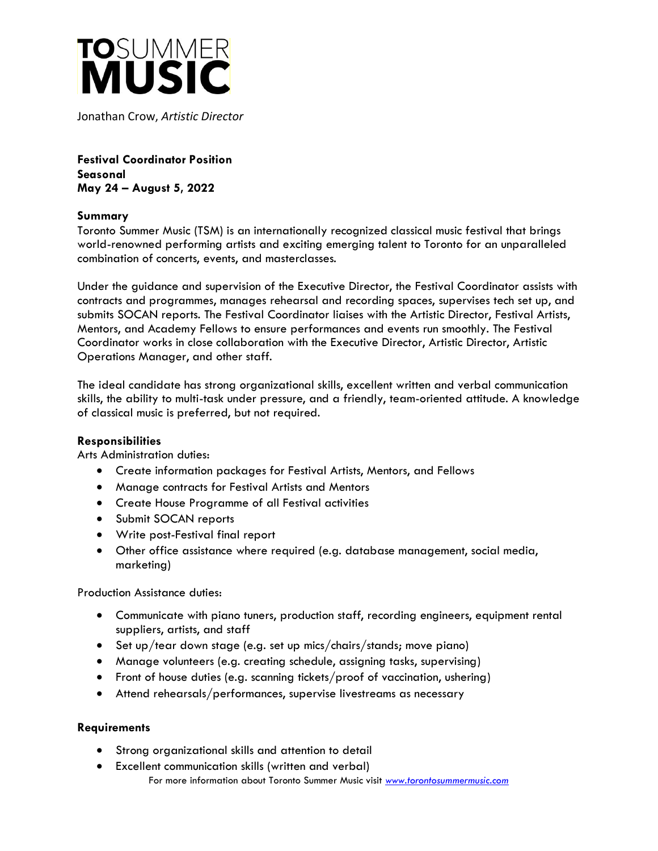

Jonathan Crow, *Artistic Director*

**Festival Coordinator Position Seasonal May 24 – August 5, 2022**

## **Summary**

Toronto Summer Music (TSM) is an internationally recognized classical music festival that brings world-renowned performing artists and exciting emerging talent to Toronto for an unparalleled combination of concerts, events, and masterclasses.

Under the guidance and supervision of the Executive Director, the Festival Coordinator assists with contracts and programmes, manages rehearsal and recording spaces, supervises tech set up, and submits SOCAN reports. The Festival Coordinator liaises with the Artistic Director, Festival Artists, Mentors, and Academy Fellows to ensure performances and events run smoothly. The Festival Coordinator works in close collaboration with the Executive Director, Artistic Director, Artistic Operations Manager, and other staff.

The ideal candidate has strong organizational skills, excellent written and verbal communication skills, the ability to multi-task under pressure, and a friendly, team-oriented attitude. A knowledge of classical music is preferred, but not required.

## **Responsibilities**

Arts Administration duties:

- Create information packages for Festival Artists, Mentors, and Fellows
- Manage contracts for Festival Artists and Mentors
- Create House Programme of all Festival activities
- Submit SOCAN reports
- Write post-Festival final report
- Other office assistance where required (e.g. database management, social media, marketing)

Production Assistance duties:

- Communicate with piano tuners, production staff, recording engineers, equipment rental suppliers, artists, and staff
- Set up/tear down stage (e.g. set up mics/chairs/stands; move piano)
- Manage volunteers (e.g. creating schedule, assigning tasks, supervising)
- Front of house duties (e.g. scanning tickets/proof of vaccination, ushering)
- Attend rehearsals/performances, supervise livestreams as necessary

## **Requirements**

- Strong organizational skills and attention to detail
- For more information about Toronto Summer Music visit *[www.torontosummermusic.com](http://www.torontosummermusic.com/)* • Excellent communication skills (written and verbal)